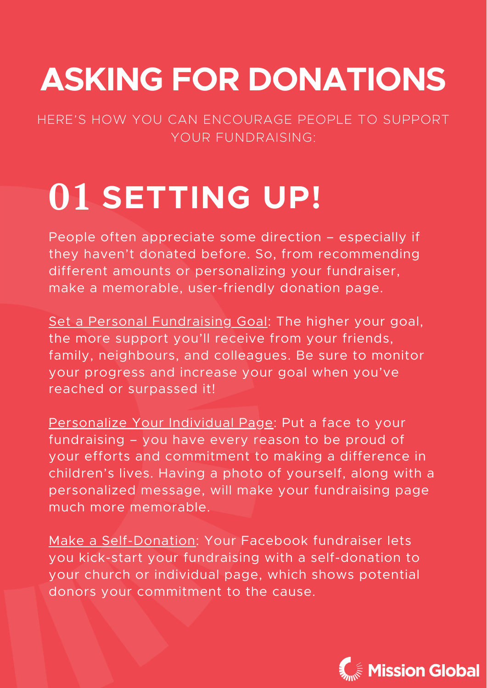#### **ASKING FOR DONATIONS**

#### HERE'S HOW YOU CAN ENCOURAGE PEOPLE TO SUPPORT YOUR FUNDRAISING:

People often appreciate some direction – especially if they haven't donated before. So, from recommending different amounts or personalizing your fundraiser, make a memorable, user-friendly donation page.

Set a Personal Fundraising Goal: The higher your goal, the more support you'll receive from your friends, family, neighbours, and colleagues. Be sure to monitor your progress and increase your goal when you've reached or surpassed it!

Personalize Your Individual Page: Put a face to your fundraising – you have every reason to be proud of your efforts and commitment to making a difference in children's lives. Having a photo of yourself, along with a personalized message, will make your fundraising page much more memorable.

Make a Self-Donation: Your Facebook fundraiser lets you kick-start your fundraising with a self-donation to your church or individual page, which shows potential donors your commitment to the cause.



### **01 SETTING UP!**